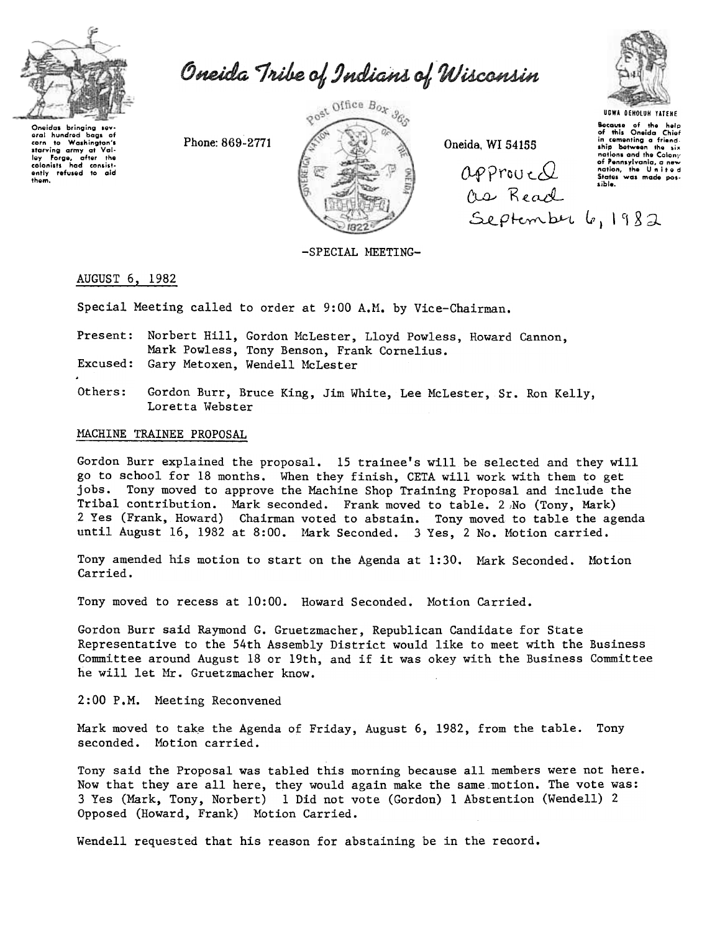

Oneida Tribe of Indians of Wisconsin

Oneidas bringing sev aral hundred bags of urai nundrod bags of<br>corn to Washington's<br>starving army at Vali-<br>loy Forge, after the<br>colonists had consist-<br>only refused to ald<br>them.

Phone: 869-2771



Oneida, WI 54155

 $APProue Q$ Os Read September 6, 1982



**Because** of the help<br>of this Oneida Chief in comenting a friend.<br>ship between the six nations and the Calony of Pennsylvania, a new<br>of Pennsylvania, a new<br>nation, the United<br>States was made pos-<br>sible.

-SPECIAL MEETING-

### AUGUST 6, 1982

Special Meeting called to order at 9:00 A.M. by Vice-Chairman.

- Present: Norbert Hill, Gordon McLester, Lloyd Powless, Howard Cannon, Mark Powless, Tony Benson, Frank Cornelius. Excused: Gary Metoxen, Wendell McLester
- Others: Gordon Burr, Bruce King, Jim White, Lee McLester, Sr. Ron Kelly, Loretta Webster

# MACHINE TRAINEE PROPOSAL

Gordon Burr explained the proposal. 15 trainee's will be selected and they will go to school for 18 months. When they finish, CETA will work with them to get jobs. Tony moved to approve the Machine Shop Training Proposal and include the Tribal contribution. Mark seconded. Frank moved to table. 2 No (Tony, Mark) 2 Yes (Frank, Howard) Chairman voted to abstain. Tony moved to table the agenda until August 16, 1982 at 8:00. Mark Seconded. 3 Yes, 2 No. Motion carried.

Tony amended his motion to start on the Agenda at 1:30. Mark Seconded. Motion Carried.

Tony moved to recess at 10:00. Howard Seconded. Motion Carried.

Gordon Burr said Raymond G. Gruetzmacher, Republican Candidate for State Representative to the 54th Assembly District would like to meet with the Business Committee around August 18 or 19th, and if it was okey with the Business Committee he will let Mr. Gruetzmacher know.

2:00 P.M. Meeting Reconvened

Mark moved to take the Agenda of Friday, August 6, 1982, from the table. Tony seconded. Motion carried.

Tony said the Proposal was tabled this morning because all members were not here. Now that they are all here, they would again make the same motion. The vote was: 3 Yes (Mark, Tony, Norbert) 1 Did not vote (Gordon) 1 Abstention (Wendell) 2 Opposed (Howard, Frank) Motion Carried.

Wendell requested that his reason for abstaining be in the record.